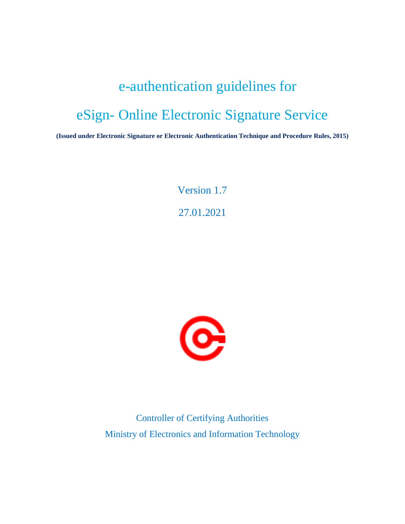# e-authentication guidelines for eSign- Online Electronic Signature Service

**(Issued under Electronic Signature or Electronic Authentication Technique and Procedure Rules, 2015)**

Version 1.7 27.01.2021



Controller of Certifying Authorities Ministry of Electronics and Information Technology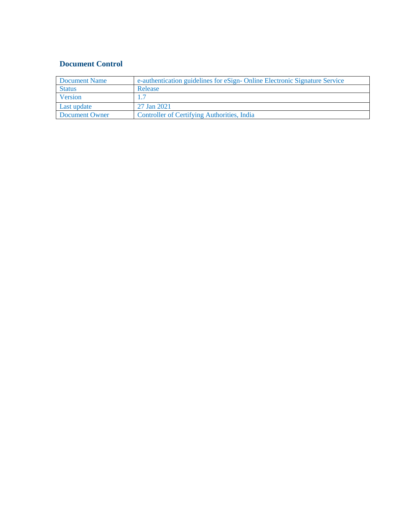# **Document Control**

| Document Name  | e-authentication guidelines for eSign-Online Electronic Signature Service |
|----------------|---------------------------------------------------------------------------|
| <b>Status</b>  | Release                                                                   |
| Version        |                                                                           |
| Last update    | 27 Jan 2021                                                               |
| Document Owner | <b>Controller of Certifying Authorities, India</b>                        |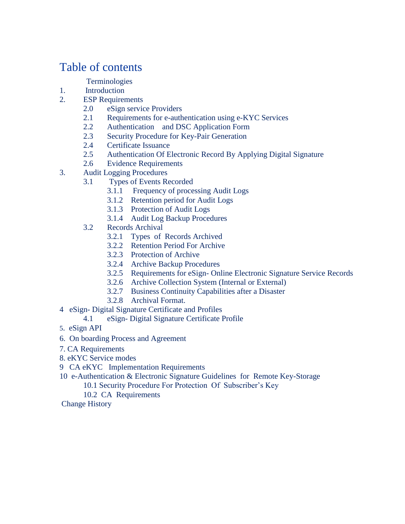# Table of contents

# **Terminologies**

- 1. Introduction
- 2. ESP Requirements
	- 2.0 eSign service Providers
	- 2.1 Requirements for e-authentication using e-KYC Services
	- 2.2 Authentication and DSC Application Form
	- 2.3 Security Procedure for Key-Pair Generation
	- 2.4 Certificate Issuance
	- 2.5 Authentication Of Electronic Record By Applying Digital Signature
	- 2.6 Evidence Requirements
- 3. Audit Logging Procedures
	- 3.1 Types of Events Recorded
		- 3.1.1 Frequency of processing Audit Logs
		- 3.1.2 Retention period for Audit Logs
		- 3.1.3 Protection of Audit Logs
		- 3.1.4 Audit Log Backup Procedures
	- 3.2 Records Archival
		- 3.2.1 Types of Records Archived
		- 3.2.2 Retention Period For Archive
		- 3.2.3 Protection of Archive
		- 3.2.4 Archive Backup Procedures
		- 3.2.5 Requirements for eSign- Online Electronic Signature Service Records
		- 3.2.6 Archive Collection System (Internal or External)
		- 3.2.7 Business Continuity Capabilities after a Disaster
		- 3.2.8 Archival Format.
- 4 eSign- Digital Signature Certificate and Profiles
	- 4.1 eSign- Digital Signature Certificate Profile
- 5. eSign API
- 6. On boarding Process and Agreement
- 7. CA Requirements
- 8. eKYC Service modes
- 9 CA eKYC Implementation Requirements
- 10 e-Authentication & Electronic Signature Guidelines for Remote Key-Storage
	- 10.1 Security Procedure For Protection Of Subscriber's Key
	- 10.2 CA Requirements

Change History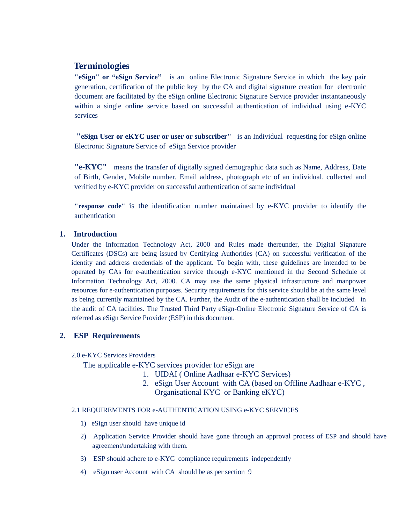# **Terminologies**

**"eSign" or "eSign Service"** is an online Electronic Signature Service in which the key pair generation, certification of the public key by the CA and digital signature creation for electronic document are facilitated by the eSign online Electronic Signature Service provider instantaneously within a single online service based on successful authentication of individual using e-KYC services

**"eSign User or eKYC user or user or subscriber"** is an Individual requesting for eSign online Electronic Signature Service of eSign Service provider

**"e-KYC"** means the transfer of digitally signed demographic data such as Name, Address, Date of Birth, Gender, Mobile number, Email address, photograph etc of an individual. collected and verified by e-KYC provider on successful authentication of same individual

**"response code"** is the identification number maintained by e-KYC provider to identify the authentication

#### **1. Introduction**

Under the Information Technology Act, 2000 and Rules made thereunder, the Digital Signature Certificates (DSCs) are being issued by Certifying Authorities (CA) on successful verification of the identity and address credentials of the applicant. To begin with, these guidelines are intended to be operated by CAs for e-authentication service through e-KYC mentioned in the Second Schedule of Information Technology Act, 2000. CA may use the same physical infrastructure and manpower resources for e-authentication purposes. Security requirements for this service should be at the same level as being currently maintained by the CA. Further, the Audit of the e-authentication shall be included in the audit of CA facilities. The Trusted Third Party eSign-Online Electronic Signature Service of CA is referred as eSign Service Provider (ESP) in this document.

#### **2. ESP Requirements**

#### 2.0 e-KYC Services Providers

The applicable e-KYC services provider for eSign are

- 1. UIDAI ( Online Aadhaar e-KYC Services)
- 2. eSign User Account with CA (based on Offline Aadhaar e-KYC , Organisational KYC or Banking eKYC)

#### 2.1 REQUIREMENTS FOR e-AUTHENTICATION USING e-KYC SERVICES

- 1) eSign user should have unique id
- 2) Application Service Provider should have gone through an approval process of ESP and should have agreement/undertaking with them.
- 3) ESP should adhere to e-KYC compliance requirements independently
- 4) eSign user Account with CA should be as per section 9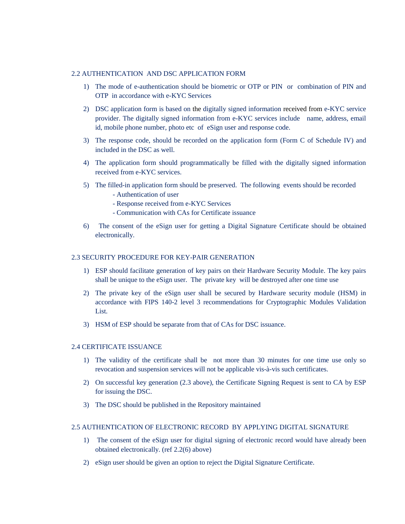#### 2.2 AUTHENTICATION AND DSC APPLICATION FORM

- 1) The mode of e-authentication should be biometric or OTP or PIN or combination of PIN and OTP in accordance with e-KYC Services
- 2) DSC application form is based on the digitally signed information received from e-KYC service provider. The digitally signed information from e-KYC services include name, address, email id, mobile phone number, photo etc of eSign user and response code.
- 3) The response code, should be recorded on the application form (Form C of Schedule IV) and included in the DSC as well.
- 4) The application form should programmatically be filled with the digitally signed information received from e-KYC services.
- 5) The filled-in application form should be preserved. The following events should be recorded - Authentication of user
	- Response received from e-KYC Services
	- Communication with CAs for Certificate issuance
- 6) The consent of the eSign user for getting a Digital Signature Certificate should be obtained electronically.

#### 2.3 SECURITY PROCEDURE FOR KEY-PAIR GENERATION

- 1) ESP should facilitate generation of key pairs on their Hardware Security Module. The key pairs shall be unique to the eSign user. The private key will be destroyed after one time use
- 2) The private key of the eSign user shall be secured by Hardware security module (HSM) in accordance with FIPS 140-2 level 3 recommendations for Cryptographic Modules Validation List.
- 3) HSM of ESP should be separate from that of CAs for DSC issuance.

#### 2.4 CERTIFICATE ISSUANCE

- 1) The validity of the certificate shall be not more than 30 minutes for one time use only so revocation and suspension services will not be applicable vis-à-vis such certificates.
- 2) On successful key generation (2.3 above), the Certificate Signing Request is sent to CA by ESP for issuing the DSC.
- 3) The DSC should be published in the Repository maintained

#### 2.5 AUTHENTICATION OF ELECTRONIC RECORD BY APPLYING DIGITAL SIGNATURE

- 1) The consent of the eSign user for digital signing of electronic record would have already been obtained electronically. (ref 2.2(6) above)
- 2) eSign user should be given an option to reject the Digital Signature Certificate.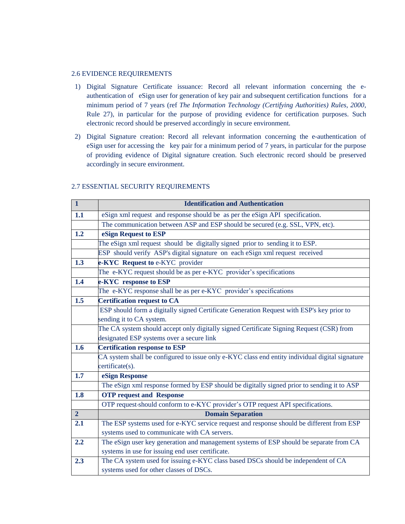#### 2.6 EVIDENCE REQUIREMENTS

- 1) Digital Signature Certificate issuance: Record all relevant information concerning the eauthentication of eSign user for generation of key pair and subsequent certification functions for a minimum period of 7 years (ref *The Information Technology (Certifying Authorities) Rules, 2000*, Rule 27), in particular for the purpose of providing evidence for certification purposes. Such electronic record should be preserved accordingly in secure environment.
- 2) Digital Signature creation: Record all relevant information concerning the e-authentication of eSign user for accessing the key pair for a minimum period of 7 years, in particular for the purpose of providing evidence of Digital signature creation. Such electronic record should be preserved accordingly in secure environment.

| $\overline{1}$ | <b>Identification and Authentication</b>                                                        |
|----------------|-------------------------------------------------------------------------------------------------|
| 1.1            | eSign xml request and response should be as per the eSign API specification.                    |
|                | The communication between ASP and ESP should be secured (e.g. SSL, VPN, etc).                   |
| 1.2            | eSign Request to ESP                                                                            |
|                | The eSign xml request should be digitally signed prior to sending it to ESP.                    |
|                | ESP should verify ASP's digital signature on each eSign xml request received                    |
| 1.3            | e-KYC Request to e-KYC provider                                                                 |
|                | The e-KYC request should be as per e-KYC provider's specifications                              |
| 1.4            | e-KYC response to ESP                                                                           |
|                | The e-KYC response shall be as per e-KYC provider's specifications                              |
| 1.5            | <b>Certification request to CA</b>                                                              |
|                | ESP should form a digitally signed Certificate Generation Request with ESP's key prior to       |
|                | sending it to CA system.                                                                        |
|                | The CA system should accept only digitally signed Certificate Signing Request (CSR) from        |
|                | designated ESP systems over a secure link                                                       |
| 1.6            | <b>Certification response to ESP</b>                                                            |
|                | CA system shall be configured to issue only e-KYC class end entity individual digital signature |
|                | certificate(s).                                                                                 |
| 1.7            | eSign Response                                                                                  |
|                | The eSign xml response formed by ESP should be digitally signed prior to sending it to ASP      |
| 1.8            | <b>OTP</b> request and Response                                                                 |
|                | OTP request-should conform to e-KYC provider's OTP request API specifications.                  |
| 2 <sup>1</sup> | <b>Domain Separation</b>                                                                        |
| 2.1            | The ESP systems used for e-KYC service request and response should be different from ESP        |
|                | systems used to communicate with CA servers.                                                    |
| 2.2            | The eSign user key generation and management systems of ESP should be separate from CA          |
|                | systems in use for issuing end user certificate.                                                |
| 2.3            | The CA system used for issuing e-KYC class based DSCs should be independent of CA               |
|                | systems used for other classes of DSCs.                                                         |

#### 2.7 ESSENTIAL SECURITY REQUIREMENTS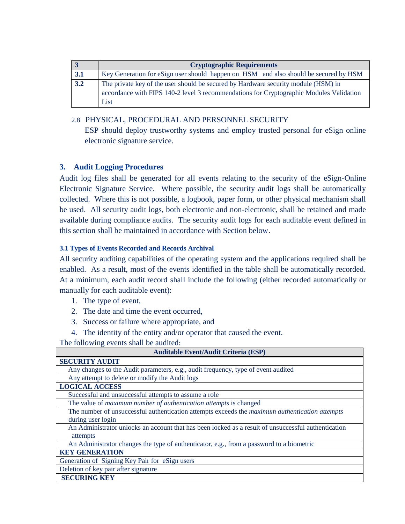|                  | <b>Cryptographic Requirements</b>                                                       |
|------------------|-----------------------------------------------------------------------------------------|
| 3.1              | Key Generation for eSign user should happen on HSM and also should be secured by HSM    |
| $\overline{3.2}$ | The private key of the user should be secured by Hardware security module (HSM) in      |
|                  | accordance with FIPS 140-2 level 3 recommendations for Cryptographic Modules Validation |
|                  | List                                                                                    |

# 2.8 PHYSICAL, PROCEDURAL AND PERSONNEL SECURITY

ESP should deploy trustworthy systems and employ trusted personal for eSign online electronic signature service.

# **3. Audit Logging Procedures**

Audit log files shall be generated for all events relating to the security of the eSign-Online Electronic Signature Service. Where possible, the security audit logs shall be automatically collected. Where this is not possible, a logbook, paper form, or other physical mechanism shall be used. All security audit logs, both electronic and non-electronic, shall be retained and made available during compliance audits. The security audit logs for each auditable event defined in this section shall be maintained in accordance with Section below.

## **3.1 Types of Events Recorded and Records Archival**

All security auditing capabilities of the operating system and the applications required shall be enabled. As a result, most of the events identified in the table shall be automatically recorded. At a minimum, each audit record shall include the following (either recorded automatically or manually for each auditable event):

- 1. The type of event,
- 2. The date and time the event occurred,
- 3. Success or failure where appropriate, and
- 4. The identity of the entity and/or operator that caused the event.

The following events shall be audited:

| <b>Auditable Event/Audit Criteria (ESP)</b>                                                         |
|-----------------------------------------------------------------------------------------------------|
| <b>SECURITY AUDIT</b>                                                                               |
| Any changes to the Audit parameters, e.g., audit frequency, type of event audited                   |
| Any attempt to delete or modify the Audit logs                                                      |
| <b>LOGICAL ACCESS</b>                                                                               |
| Successful and unsuccessful attempts to assume a role                                               |
| The value of maximum number of authentication attempts is changed                                   |
| The number of unsuccessful authentication attempts exceeds the maximum authentication attempts      |
| during user login                                                                                   |
| An Administrator unlocks an account that has been locked as a result of unsuccessful authentication |
| attempts                                                                                            |
| An Administrator changes the type of authenticator, e.g., from a password to a biometric            |
| <b>KEY GENERATION</b>                                                                               |
| Generation of Signing Key Pair for eSign users                                                      |
| Deletion of key pair after signature                                                                |
| <b>SECURING KEY</b>                                                                                 |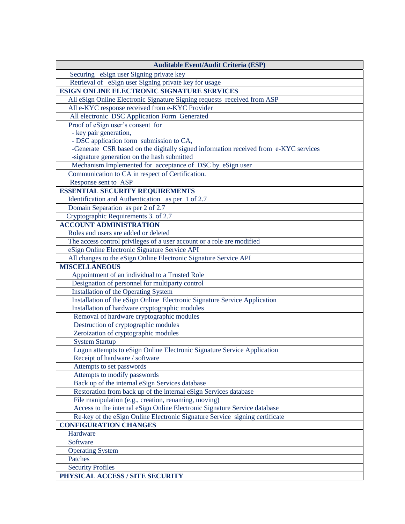| <b>Auditable Event/Audit Criteria (ESP)</b>                                          |
|--------------------------------------------------------------------------------------|
| Securing eSign user Signing private key                                              |
| Retrieval of eSign user Signing private key for usage                                |
| ESIGN ONLINE ELECTRONIC SIGNATURE SERVICES                                           |
| All eSign Online Electronic Signature Signing requests received from ASP             |
| All e-KYC response received from e-KYC Provider                                      |
| All electronic DSC Application Form Generated                                        |
| Proof of eSign user's consent for                                                    |
| - key pair generation,                                                               |
| - DSC application form submission to CA,                                             |
| -Generate CSR based on the digitally signed information received from e-KYC services |
| -signature generation on the hash submitted                                          |
| Mechanism Implemented for acceptance of DSC by eSign user                            |
| Communication to CA in respect of Certification.                                     |
| Response sent to ASP                                                                 |
| <b>ESSENTIAL SECURITY REQUIREMENTS</b>                                               |
| Identification and Authentication as per 1 of 2.7                                    |
| Domain Separation as per 2 of 2.7                                                    |
| Cryptographic Requirements 3. of 2.7                                                 |
| <b>ACCOUNT ADMINISTRATION</b>                                                        |
| Roles and users are added or deleted                                                 |
| The access control privileges of a user account or a role are modified               |
| eSign Online Electronic Signature Service API                                        |
| All changes to the eSign Online Electronic Signature Service API                     |
| <b>MISCELLANEOUS</b>                                                                 |
| Appointment of an individual to a Trusted Role                                       |
| Designation of personnel for multiparty control                                      |
| Installation of the Operating System                                                 |
| Installation of the eSign Online Electronic Signature Service Application            |
| Installation of hardware cryptographic modules                                       |
| Removal of hardware cryptographic modules                                            |
| Destruction of cryptographic modules                                                 |
| Zeroization of cryptographic modules                                                 |
| <b>System Startup</b>                                                                |
| Logon attempts to eSign Online Electronic Signature Service Application              |
| Receipt of hardware / software                                                       |
| Attempts to set passwords                                                            |
| Attempts to modify passwords                                                         |
| Back up of the internal eSign Services database                                      |
| Restoration from back up of the internal eSign Services database                     |
| File manipulation (e.g., creation, renaming, moving)                                 |
| Access to the internal eSign Online Electronic Signature Service database            |
| Re-key of the eSign Online Electronic Signature Service signing certificate          |
| <b>CONFIGURATION CHANGES</b>                                                         |
| Hardware                                                                             |
| Software                                                                             |
| <b>Operating System</b>                                                              |
| Patches                                                                              |
| <b>Security Profiles</b>                                                             |
| PHYSICAL ACCESS / SITE SECURITY                                                      |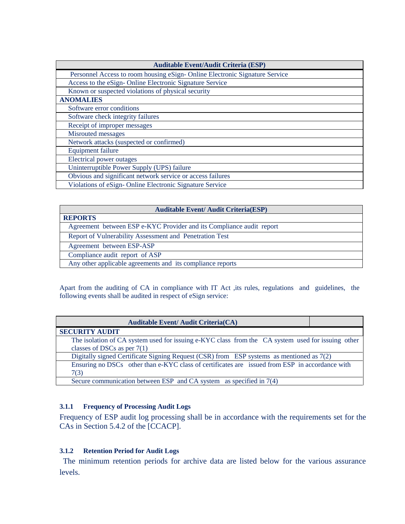| <b>Auditable Event/Audit Criteria (ESP)</b>                                |
|----------------------------------------------------------------------------|
| Personnel Access to room housing eSign-Online Electronic Signature Service |
| Access to the eSign-Online Electronic Signature Service                    |
| Known or suspected violations of physical security                         |
| <b>ANOMALIES</b>                                                           |
| Software error conditions                                                  |
| Software check integrity failures                                          |
| Receipt of improper messages                                               |
| Misrouted messages                                                         |
| Network attacks (suspected or confirmed)                                   |
| <b>Equipment failure</b>                                                   |
| Electrical power outages                                                   |
| Uninterruptible Power Supply (UPS) failure                                 |
| Obvious and significant network service or access failures                 |
| Violations of eSign-Online Electronic Signature Service                    |

| <b>Auditable Event/ Audit Criteria(ESP)</b>                          |
|----------------------------------------------------------------------|
| <b>REPORTS</b>                                                       |
| Agreement between ESP e-KYC Provider and its Compliance audit report |
| Report of Vulnerability Assessment and Penetration Test              |
| Agreement between ESP-ASP                                            |
| Compliance audit report of ASP                                       |
| Any other applicable agreements and its compliance reports           |

Apart from the auditing of CA in compliance with IT Act ,its rules, regulations and guidelines, the following events shall be audited in respect of eSign service:

| <b>Auditable Event/Audit Criteria(CA)</b>                                                         |  |
|---------------------------------------------------------------------------------------------------|--|
| <b>SECURITY AUDIT</b>                                                                             |  |
| The isolation of CA system used for issuing e-KYC class from the CA system used for issuing other |  |
| classes of DSCs as per $7(1)$                                                                     |  |
| Digitally signed Certificate Signing Request (CSR) from ESP systems as mentioned as 7(2)          |  |
| Ensuring no DSCs other than e-KYC class of certificates are issued from ESP in accordance with    |  |
| 7(3)                                                                                              |  |
| Secure communication between ESP and CA system as specified in 7(4)                               |  |

## **3.1.1 Frequency of Processing Audit Logs**

Frequency of ESP audit log processing shall be in accordance with the requirements set for the CAs in Section 5.4.2 of the [CCACP].

## **3.1.2 Retention Period for Audit Logs**

 The minimum retention periods for archive data are listed below for the various assurance levels.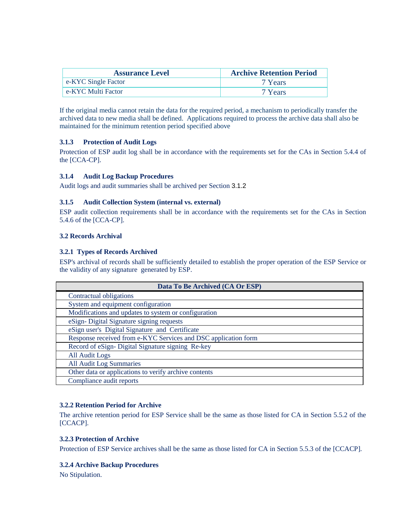| <b>Assurance Level</b> | <b>Archive Retention Period</b> |
|------------------------|---------------------------------|
| e-KYC Single Factor    | 7 Years                         |
| e-KYC Multi Factor     | 7 Years                         |

If the original media cannot retain the data for the required period, a mechanism to periodically transfer the archived data to new media shall be defined. Applications required to process the archive data shall also be maintained for the minimum retention period specified above

#### **3.1.3 Protection of Audit Logs**

Protection of ESP audit log shall be in accordance with the requirements set for the CAs in Section 5.4.4 of the [CCA-CP].

#### **3.1.4 Audit Log Backup Procedures**

Audit logs and audit summaries shall be archived per Section 3.1.2

#### **3.1.5 Audit Collection System (internal vs. external)**

ESP audit collection requirements shall be in accordance with the requirements set for the CAs in Section 5.4.6 of the [CCA-CP].

#### **3.2 Records Archival**

#### **3.2.1 Types of Records Archived**

ESP's archival of records shall be sufficiently detailed to establish the proper operation of the ESP Service or the validity of any signature generated by ESP.

| Data To Be Archived (CA Or ESP)                                |
|----------------------------------------------------------------|
| Contractual obligations                                        |
| System and equipment configuration                             |
| Modifications and updates to system or configuration           |
| eSign-Digital Signature signing requests                       |
| eSign user's Digital Signature and Certificate                 |
| Response received from e-KYC Services and DSC application form |
| Record of eSign- Digital Signature signing Re-key              |
| All Audit Logs                                                 |
| All Audit Log Summaries                                        |
| Other data or applications to verify archive contents          |
| Compliance audit reports                                       |

#### **3.2.2 Retention Period for Archive**

The archive retention period for ESP Service shall be the same as those listed for CA in Section 5.5.2 of the [CCACP].

#### **3.2.3 Protection of Archive**

Protection of ESP Service archives shall be the same as those listed for CA in Section 5.5.3 of the [CCACP].

#### **3.2.4 Archive Backup Procedures**

No Stipulation.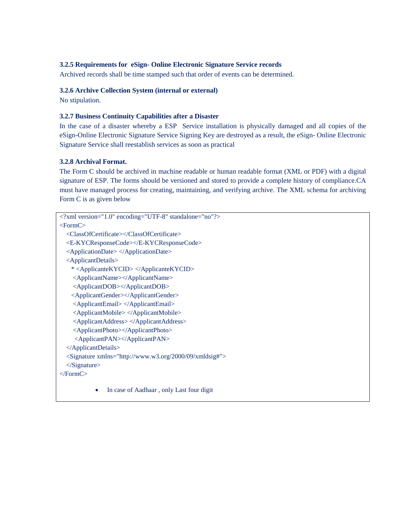#### **3.2.5 Requirements for eSign- Online Electronic Signature Service records**

Archived records shall be time stamped such that order of events can be determined.

#### **3.2.6 Archive Collection System (internal or external)**

No stipulation.

#### **3.2.7 Business Continuity Capabilities after a Disaster**

In the case of a disaster whereby a ESP Service installation is physically damaged and all copies of the eSign-Online Electronic Signature Service Signing Key are destroyed as a result, the eSign- Online Electronic Signature Service shall reestablish services as soon as practical

#### **3.2.8 Archival Format.**

The Form C should be archived in machine readable or human readable format (XML or PDF) with a digital signature of ESP. The forms should be versioned and stored to provide a complete history of compliance.CA must have managed process for creating, maintaining, and verifying archive. The XML schema for archiving Form C is as given below

```
<?xml version="1.0" encoding="UTF-8" standalone="no"?>
<FormC>
   <ClassOfCertificate></ClassOfCertificate>
   <E-KYCResponseCode></E-KYCResponseCode>
   <ApplicationDate> </ApplicationDate>
   <ApplicantDetails>
     * <ApplicanteKYCID> </ApplicanteKYCID>
     <ApplicantName></ApplicantName>
     <ApplicantDOB></ApplicantDOB>
     <ApplicantGender></ApplicantGender>
     <ApplicantEmail> </ApplicantEmail>
     <ApplicantMobile> </ApplicantMobile>
     <ApplicantAddress> </ApplicantAddress>
     <ApplicantPhoto></ApplicantPhoto>
     <ApplicantPAN></ApplicantPAN>
   </ApplicantDetails>
   <Signature xmlns="http://www.w3.org/2000/09/xmldsig#">
   </Signature>
</FormC>
           • In case of Aadhaar, only Last four digit
```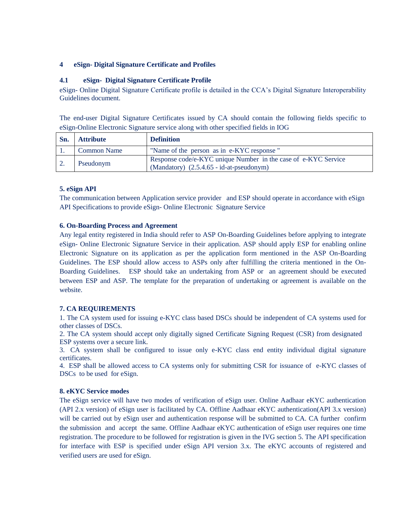#### **4 eSign- Digital Signature Certificate and Profiles**

#### **4.1 eSign- Digital Signature Certificate Profile**

eSign- Online Digital Signature Certificate profile is detailed in the CCA's Digital Signature Interoperability Guidelines document.

The end-user Digital Signature Certificates issued by CA should contain the following fields specific to eSign-Online Electronic Signature service along with other specified fields in IOG

| Sn. | <b>Attribute</b>   | <b>Definition</b>                                                                                              |
|-----|--------------------|----------------------------------------------------------------------------------------------------------------|
|     | <b>Common Name</b> | "Name of the person as in e-KYC response"                                                                      |
|     | Pseudonym          | Response code/e-KYC unique Number in the case of e-KYC Service<br>$(Mandatory)$ $(2.5.4.65 - id-at-pseudonym)$ |

#### **5. eSign API**

The communication between Application service provider and ESP should operate in accordance with eSign API Specifications to provide eSign- Online Electronic Signature Service

#### **6. On-Boarding Process and Agreement**

Any legal entity registered in India should refer to ASP On-Boarding Guidelines before applying to integrate eSign- Online Electronic Signature Service in their application. ASP should apply ESP for enabling online Electronic Signature on its application as per the application form mentioned in the ASP On-Boarding Guidelines. The ESP should allow access to ASPs only after fulfilling the criteria mentioned in the On-Boarding Guidelines. ESP should take an undertaking from ASP or an agreement should be executed between ESP and ASP. The template for the preparation of undertaking or agreement is available on the website.

#### **7. CA REQUIREMENTS**

1. The CA system used for issuing e-KYC class based DSCs should be independent of CA systems used for other classes of DSCs.

2. The CA system should accept only digitally signed Certificate Signing Request (CSR) from designated ESP systems over a secure link.

3. CA system shall be configured to issue only e-KYC class end entity individual digital signature certificates.

4. ESP shall be allowed access to CA systems only for submitting CSR for issuance of e-KYC classes of DSCs to be used for eSign.

#### **8. eKYC Service modes**

The eSign service will have two modes of verification of eSign user. Online Aadhaar eKYC authentication (API 2.x version) of eSign user is facilitated by CA. Offline Aadhaar eKYC authentication(API 3.x version) will be carried out by eSign user and authentication response will be submitted to CA. CA further confirm the submission and accept the same. Offline Aadhaar eKYC authentication of eSign user requires one time registration. The procedure to be followed for registration is given in the IVG section 5. The API specification for interface with ESP is specified under eSign API version 3.x. The eKYC accounts of registered and verified users are used for eSign.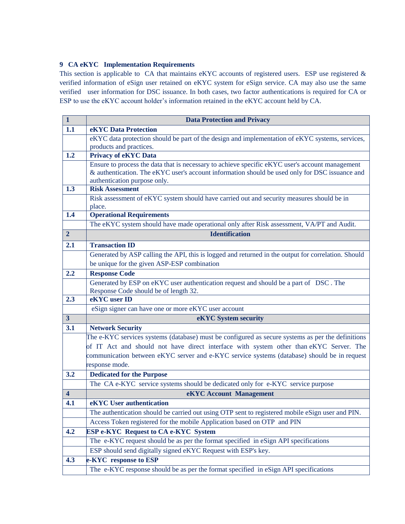#### **9 CA eKYC Implementation Requirements**

This section is applicable to CA that maintains eKYC accounts of registered users. ESP use registered & verified information of eSign user retained on eKYC system for eSign service. CA may also use the same verified user information for DSC issuance. In both cases, two factor authentications is required for CA or ESP to use the eKYC account holder's information retained in the eKYC account held by CA.

| $\mathbf{1}$            | <b>Data Protection and Privacy</b>                                                                                                                                                                                                                                                                           |  |
|-------------------------|--------------------------------------------------------------------------------------------------------------------------------------------------------------------------------------------------------------------------------------------------------------------------------------------------------------|--|
| 1.1                     | eKYC Data Protection                                                                                                                                                                                                                                                                                         |  |
|                         | eKYC data protection should be part of the design and implementation of eKYC systems, services,<br>products and practices.                                                                                                                                                                                   |  |
| 1.2                     | <b>Privacy of eKYC Data</b>                                                                                                                                                                                                                                                                                  |  |
|                         | Ensure to process the data that is necessary to achieve specific eKYC user's account management<br>& authentication. The eKYC user's account information should be used only for DSC issuance and<br>authentication purpose only.                                                                            |  |
| 1.3                     | <b>Risk Assessment</b>                                                                                                                                                                                                                                                                                       |  |
|                         | Risk assessment of eKYC system should have carried out and security measures should be in<br>place.                                                                                                                                                                                                          |  |
| 1.4                     | <b>Operational Requirements</b>                                                                                                                                                                                                                                                                              |  |
|                         | The eKYC system should have made operational only after Risk assessment, VA/PT and Audit.                                                                                                                                                                                                                    |  |
| $\overline{2}$          | <b>Identification</b>                                                                                                                                                                                                                                                                                        |  |
| 2.1                     | <b>Transaction ID</b>                                                                                                                                                                                                                                                                                        |  |
|                         | Generated by ASP calling the API, this is logged and returned in the output for correlation. Should                                                                                                                                                                                                          |  |
|                         | be unique for the given ASP-ESP combination                                                                                                                                                                                                                                                                  |  |
| 2.2                     | <b>Response Code</b>                                                                                                                                                                                                                                                                                         |  |
|                         | Generated by ESP on eKYC user authentication request and should be a part of DSC. The<br>Response Code should be of length 32.                                                                                                                                                                               |  |
| 2.3                     | eKYC user ID                                                                                                                                                                                                                                                                                                 |  |
|                         | eSign signer can have one or more eKYC user account                                                                                                                                                                                                                                                          |  |
| 3 <sup>2</sup>          | eKYC System security                                                                                                                                                                                                                                                                                         |  |
| 3.1                     | <b>Network Security</b>                                                                                                                                                                                                                                                                                      |  |
|                         | The e-KYC services systems (database) must be configured as secure systems as per the definitions<br>of IT Act and should not have direct interface with system other than eKYC Server. The<br>communication between eKYC server and e-KYC service systems (database) should be in request<br>response mode. |  |
| 3.2                     | <b>Dedicated for the Purpose</b>                                                                                                                                                                                                                                                                             |  |
|                         | The CA e-KYC service systems should be dedicated only for e-KYC service purpose                                                                                                                                                                                                                              |  |
| $\overline{\mathbf{4}}$ | eKYC Account Management                                                                                                                                                                                                                                                                                      |  |
| 4.1                     | eKYC User authentication                                                                                                                                                                                                                                                                                     |  |
|                         | The authentication should be carried out using OTP sent to registered mobile eSign user and PIN.                                                                                                                                                                                                             |  |
|                         | Access Token registered for the mobile Application based on OTP and PIN                                                                                                                                                                                                                                      |  |
| 4.2                     | <b>ESP e-KYC Request to CA e-KYC System</b>                                                                                                                                                                                                                                                                  |  |
|                         | The e-KYC request should be as per the format specified in eSign API specifications                                                                                                                                                                                                                          |  |
|                         | ESP should send digitally signed eKYC Request with ESP's key.                                                                                                                                                                                                                                                |  |
| 4.3                     | e-KYC response to ESP                                                                                                                                                                                                                                                                                        |  |
|                         | The e-KYC response should be as per the format specified in eSign API specifications                                                                                                                                                                                                                         |  |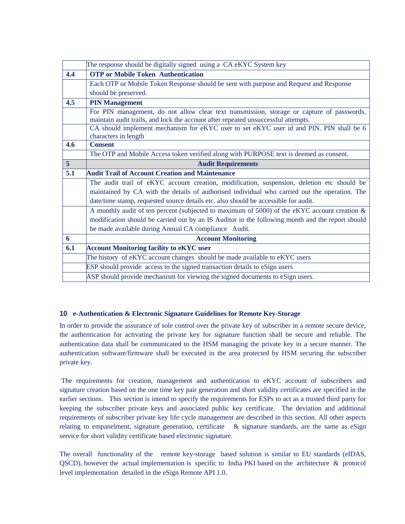|                | The response should be digitally signed using a CA eKYC System key                               |  |  |
|----------------|--------------------------------------------------------------------------------------------------|--|--|
| 4.4            | <b>OTP or Mobile Token Authentication</b>                                                        |  |  |
|                | Each OTP or Mobile Token Response should be sent with purpose and Request and Response           |  |  |
|                | should be preserved.                                                                             |  |  |
| 4.5            | <b>PIN Management</b>                                                                            |  |  |
|                | For PIN management, do not allow clear text transmission, storage or capture of passwords,       |  |  |
|                | maintain audit trails, and lock the account after repeated unsuccessful attempts.                |  |  |
|                | CA should implement mechanism for eKYC user to set eKYC user id and PIN. PIN shall be 6          |  |  |
|                | characters in length                                                                             |  |  |
| 4.6            | <b>Consent</b>                                                                                   |  |  |
|                | The OTP and Mobile Access token verified along with PURPOSE text is deemed as consent.           |  |  |
| 5 <sup>5</sup> | <b>Audit Requirements</b>                                                                        |  |  |
| 5.1            | <b>Audit Trail of Account Creation and Maintenance</b>                                           |  |  |
|                | The audit trail of eKYC account creation, modification, suspension, deletion etc should be       |  |  |
|                | maintained by CA with the details of authorised individual who carried out the operation. The    |  |  |
|                | date/time stamp, requested source details etc. also should be accessible for audit.              |  |  |
|                | A monthly audit of ten percent (subjected to maximum of 5000) of the eKYC account creation $\&$  |  |  |
|                | modification should be carried out by an IS Auditor in the following month and the report should |  |  |
|                | be made available during Annual CA compliance Audit.                                             |  |  |
| 6              | <b>Account Monitoring</b>                                                                        |  |  |
| 6.1            | <b>Account Monitoring facility to eKYC user</b>                                                  |  |  |
|                | The history of eKYC account changes should be made available to eKYC users                       |  |  |
|                | ESP should provide access to the signed transaction details to eSign users                       |  |  |
|                | ASP should provide mechanism for viewing the signed documents to eSign users.                    |  |  |

#### **10 e-Authentication & Electronic Signature Guidelines for Remote Key-Storage**

In order to provide the assurance of sole control over the private key of subscriber in a remote secure device, the authentication for activating the private key for signature function shall be secure and reliable. The authentication data shall be communicated to the HSM managing the private key in a secure manner. The authentication software/firmware shall be executed in the area protected by HSM securing the subscriber private key.

The requirements for creation, management and authentication to eKYC account of subscribers and signature creation based on the one time key pair generation and short validity certificates are specified in the earlier sections. This section is intend to specify the requirements for ESPs to act as a trusted third party for keeping the subscriber private keys and associated public key certificate. The deviation and additional requirements of subscriber private key life cycle management are described in this section. All other aspects relating to empanelment, signature generation, certificate  $\&$  signature standards, are the same as eSign service for short validity certificate based electronic signature.

The overall functionality of the remote key-storage based solution is similar to EU standards (eIDAS, QSCD), however the actual implementation is specific to India PKI based on the architecture & protocol level implementation detailed in the eSign Remote API 1.0.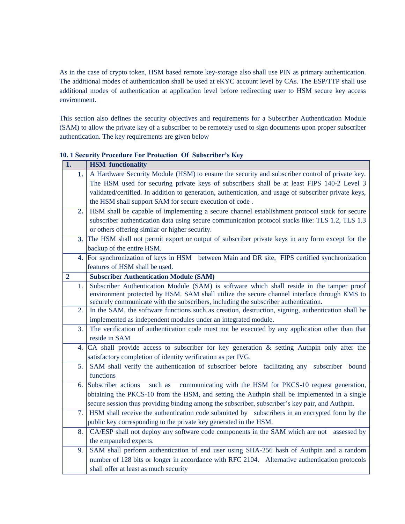As in the case of crypto token, HSM based remote key-storage also shall use PIN as primary authentication. The additional modes of authentication shall be used at eKYC account level by CAs. The ESP/TTP shall use additional modes of authentication at application level before redirecting user to HSM secure key access environment.

This section also defines the security objectives and requirements for a Subscriber Authentication Module (SAM) to allow the private key of a subscriber to be remotely used to sign documents upon proper subscriber authentication. The key requirements are given below

| 1.             | <b>HSM</b> functionality                                                                                                                                                           |  |  |  |
|----------------|------------------------------------------------------------------------------------------------------------------------------------------------------------------------------------|--|--|--|
| 1.             | A Hardware Security Module (HSM) to ensure the security and subscriber control of private key.                                                                                     |  |  |  |
|                | The HSM used for securing private keys of subscribers shall be at least FIPS 140-2 Level 3                                                                                         |  |  |  |
|                | validated/certified. In addition to generation, authentication, and usage of subscriber private keys,                                                                              |  |  |  |
|                | the HSM shall support SAM for secure execution of code.                                                                                                                            |  |  |  |
| 2.             | HSM shall be capable of implementing a secure channel establishment protocol stack for secure                                                                                      |  |  |  |
|                | subscriber authentication data using secure communication protocol stacks like: TLS 1.2, TLS 1.3                                                                                   |  |  |  |
|                | or others offering similar or higher security.                                                                                                                                     |  |  |  |
| 3.             | The HSM shall not permit export or output of subscriber private keys in any form except for the                                                                                    |  |  |  |
|                | backup of the entire HSM.                                                                                                                                                          |  |  |  |
| 4.             | For synchronization of keys in HSM between Main and DR site, FIPS certified synchronization                                                                                        |  |  |  |
|                | features of HSM shall be used.                                                                                                                                                     |  |  |  |
| $\overline{2}$ | <b>Subscriber Authentication Module (SAM)</b>                                                                                                                                      |  |  |  |
| 1.             | Subscriber Authentication Module (SAM) is software which shall reside in the tamper proof                                                                                          |  |  |  |
|                | environment protected by HSM. SAM shall utilize the secure channel interface through KMS to<br>securely communicate with the subscribers, including the subscriber authentication. |  |  |  |
| 2.             | In the SAM, the software functions such as creation, destruction, signing, authentication shall be                                                                                 |  |  |  |
|                | implemented as independent modules under an integrated module.                                                                                                                     |  |  |  |
| 3.             | The verification of authentication code must not be executed by any application other than that                                                                                    |  |  |  |
|                | reside in SAM                                                                                                                                                                      |  |  |  |
| 4.             | CA shall provide access to subscriber for key generation & setting Authpin only after the                                                                                          |  |  |  |
|                | satisfactory completion of identity verification as per IVG.                                                                                                                       |  |  |  |
| 5.             | SAM shall verify the authentication of subscriber before facilitating any subscriber bound                                                                                         |  |  |  |
|                | functions                                                                                                                                                                          |  |  |  |
| 6.             | such as<br>communicating with the HSM for PKCS-10 request generation,<br>Subscriber actions                                                                                        |  |  |  |
|                | obtaining the PKCS-10 from the HSM, and setting the Authpin shall be implemented in a single                                                                                       |  |  |  |
|                | secure session thus providing binding among the subscriber, subscriber's key pair, and Authpin.                                                                                    |  |  |  |
| 7.             | HSM shall receive the authentication code submitted by subscribers in an encrypted form by the                                                                                     |  |  |  |
|                | public key corresponding to the private key generated in the HSM.                                                                                                                  |  |  |  |
| 8.             | CA/ESP shall not deploy any software code components in the SAM which are not assessed by                                                                                          |  |  |  |
|                | the empaneled experts.                                                                                                                                                             |  |  |  |
| 9.             | SAM shall perform authentication of end user using SHA-256 hash of Authpin and a random                                                                                            |  |  |  |
|                | number of 128 bits or longer in accordance with RFC 2104. Alternative authentication protocols                                                                                     |  |  |  |
|                | shall offer at least as much security                                                                                                                                              |  |  |  |
|                |                                                                                                                                                                                    |  |  |  |

**10. 1 Security Procedure For Protection Of Subscriber's Key**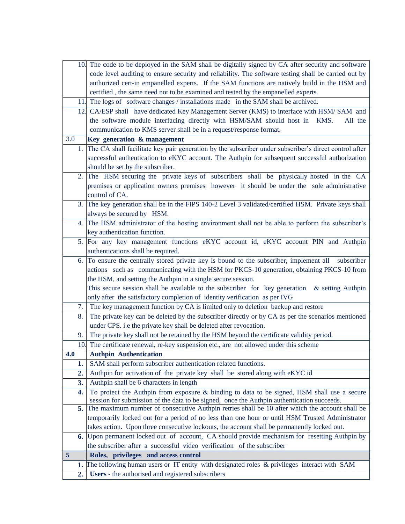|     | 10. The code to be deployed in the SAM shall be digitally signed by CA after security and software                                                                                           |  |  |  |
|-----|----------------------------------------------------------------------------------------------------------------------------------------------------------------------------------------------|--|--|--|
|     | code level auditing to ensure security and reliability. The software testing shall be carried out by                                                                                         |  |  |  |
|     | authorized cert-in empanelled experts. If the SAM functions are natively build in the HSM and                                                                                                |  |  |  |
|     | certified, the same need not to be examined and tested by the empanelled experts.                                                                                                            |  |  |  |
|     | 11. The logs of software changes / installations made in the SAM shall be archived.                                                                                                          |  |  |  |
|     | 12. CA/ESP shall have dedicated Key Management Server (KMS) to interface with HSM/ SAM and                                                                                                   |  |  |  |
|     | the software module interfacing directly with HSM/SAM should host in KMS.<br>All the                                                                                                         |  |  |  |
|     | communication to KMS server shall be in a request/response format.                                                                                                                           |  |  |  |
| 3.0 | Key generation & management                                                                                                                                                                  |  |  |  |
| 1.  | The CA shall facilitate key pair generation by the subscriber under subscriber's direct control after                                                                                        |  |  |  |
|     | successful authentication to eKYC account. The Authpin for subsequent successful authorization                                                                                               |  |  |  |
|     | should be set by the subscriber.                                                                                                                                                             |  |  |  |
| 2.  | The HSM securing the private keys of subscribers shall be physically hosted in the CA                                                                                                        |  |  |  |
|     | premises or application owners premises however it should be under the sole administrative                                                                                                   |  |  |  |
|     | control of CA.                                                                                                                                                                               |  |  |  |
| 3.  | The key generation shall be in the FIPS 140-2 Level 3 validated/certified HSM. Private keys shall                                                                                            |  |  |  |
|     | always be secured by HSM.                                                                                                                                                                    |  |  |  |
| 4.  | The HSM administrator of the hosting environment shall not be able to perform the subscriber's                                                                                               |  |  |  |
|     | key authentication function.                                                                                                                                                                 |  |  |  |
| 5.  | For any key management functions eKYC account id, eKYC account PIN and Authpin                                                                                                               |  |  |  |
|     | authentications shall be required.                                                                                                                                                           |  |  |  |
| 6.  | To ensure the centrally stored private key is bound to the subscriber, implement all<br>subscriber                                                                                           |  |  |  |
|     | actions such as communicating with the HSM for PKCS-10 generation, obtaining PKCS-10 from                                                                                                    |  |  |  |
|     | the HSM, and setting the Authpin in a single secure session.                                                                                                                                 |  |  |  |
|     | This secure session shall be available to the subscriber for key generation<br>& setting Authpin                                                                                             |  |  |  |
|     | only after the satisfactory completion of identity verification as per IVG                                                                                                                   |  |  |  |
| 7.  | The key management function by CA is limited only to deletion backup and restore                                                                                                             |  |  |  |
| 8.  | The private key can be deleted by the subscriber directly or by CA as per the scenarios mentioned                                                                                            |  |  |  |
|     | under CPS. i.e the private key shall be deleted after revocation.                                                                                                                            |  |  |  |
| 9.  | The private key shall not be retained by the HSM beyond the certificate validity period.                                                                                                     |  |  |  |
|     | 10. The certificate renewal, re-key suspension etc., are not allowed under this scheme                                                                                                       |  |  |  |
| 4.0 | <b>Authpin Authentication</b>                                                                                                                                                                |  |  |  |
| 1.  | SAM shall perform subscriber authentication related functions.                                                                                                                               |  |  |  |
| 2.  | Authpin for activation of the private key shall be stored along with eKYC id                                                                                                                 |  |  |  |
| 3.  | Authpin shall be 6 characters in length                                                                                                                                                      |  |  |  |
| 4.  | To protect the Authpin from exposure & binding to data to be signed, HSM shall use a secure                                                                                                  |  |  |  |
| 5.  | session for submission of the data to be signed, once the Authpin authentication succeeds.<br>The maximum number of consecutive Authpin retries shall be 10 after which the account shall be |  |  |  |
|     | temporarily locked out for a period of no less than one hour or until HSM Trusted Administrator                                                                                              |  |  |  |
|     | takes action. Upon three consecutive lockouts, the account shall be permanently locked out.                                                                                                  |  |  |  |
| 6.  | Upon permanent locked out of account, CA should provide mechanism for resetting Authpin by                                                                                                   |  |  |  |
|     | the subscriber after a successful video verification of the subscriber                                                                                                                       |  |  |  |
| 5   | Roles, privileges and access control                                                                                                                                                         |  |  |  |
| 1.  | The following human users or IT entity with designated roles & privileges interact with SAM                                                                                                  |  |  |  |
| 2.  | Users - the authorised and registered subscribers                                                                                                                                            |  |  |  |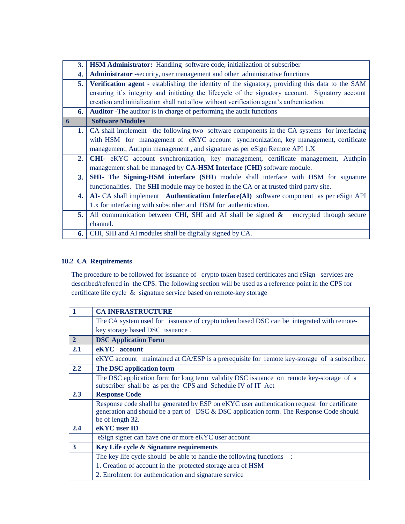| 3. | HSM Administrator: Handling software code, initialization of subscriber                                |  |  |
|----|--------------------------------------------------------------------------------------------------------|--|--|
| 4. | <b>Administrator</b> -security, user management and other administrative functions                     |  |  |
| 5. | <b>Verification agent</b> - establishing the identity of the signatory, providing this data to the SAM |  |  |
|    | ensuring it's integrity and initiating the lifecycle of the signatory account. Signatory account       |  |  |
|    | creation and initialization shall not allow without verification agent's authentication.               |  |  |
| 6. | <b>Auditor</b> - The auditor is in charge of performing the audit functions                            |  |  |
| 6  | <b>Software Modules</b>                                                                                |  |  |
| 1. | CA shall implement the following two software components in the CA systems for interfacing             |  |  |
|    | with HSM for management of eKYC account synchronization, key management, certificate                   |  |  |
|    | management, Authpin management, and signature as per eSign Remote API 1.X                              |  |  |
| 2. | CHI- eKYC account synchronization, key management, certificate management, Authpin                     |  |  |
|    | management shall be managed by CA-HSM Interface (CHI) software module.                                 |  |  |
| 3. | SHI- The Signing-HSM interface (SHI) module shall interface with HSM for signature                     |  |  |
|    | functionalities. The <b>SHI</b> module may be hosted in the CA or at trusted third party site.         |  |  |
| 4. | AI- CA shall implement Authentication Interface(AI) software component as per eSign API                |  |  |
|    | 1.x for interfacing with subscriber and HSM for authentication.                                        |  |  |
| 5. | All communication between CHI, SHI and AI shall be signed $\&$<br>encrypted through secure             |  |  |
|    | channel.                                                                                               |  |  |
| 6. | CHI, SHI and AI modules shall be digitally signed by CA.                                               |  |  |

#### **10.2 CA Requirements**

The procedure to be followed for issuance of crypto token based certificates and eSign services are described/referred in the CPS. The following section will be used as a reference point in the CPS for certificate life cycle & signature service based on remote-key storage

| 1              | <b>CA INFRASTRUCTURE</b>                                                                    |  |  |
|----------------|---------------------------------------------------------------------------------------------|--|--|
|                | The CA system used for issuance of crypto token based DSC can be integrated with remote-    |  |  |
|                | key storage based DSC issuance.                                                             |  |  |
| $\overline{2}$ | <b>DSC Application Form</b>                                                                 |  |  |
| 2.1            | eKYC account                                                                                |  |  |
|                | eKYC account maintained at CA/ESP is a prerequisite for remote key-storage of a subscriber. |  |  |
| 2.2            | The DSC application form                                                                    |  |  |
|                | The DSC application form for long term validity DSC issuance on remote key-storage of a     |  |  |
|                | subscriber shall be as per the CPS and Schedule IV of IT Act                                |  |  |
| 2.3            | <b>Response Code</b>                                                                        |  |  |
|                | Response code shall be generated by ESP on eKYC user authentication request for certificate |  |  |
|                | generation and should be a part of DSC & DSC application form. The Response Code should     |  |  |
|                | be of length 32.                                                                            |  |  |
| 2.4            | eKYC user ID                                                                                |  |  |
|                | eSign signer can have one or more eKYC user account                                         |  |  |
| 3              | Key Life cycle & Signature requirements                                                     |  |  |
|                | The key life cycle should be able to handle the following functions :                       |  |  |
|                | 1. Creation of account in the protected storage area of HSM                                 |  |  |
|                | 2. Enrolment for authentication and signature service                                       |  |  |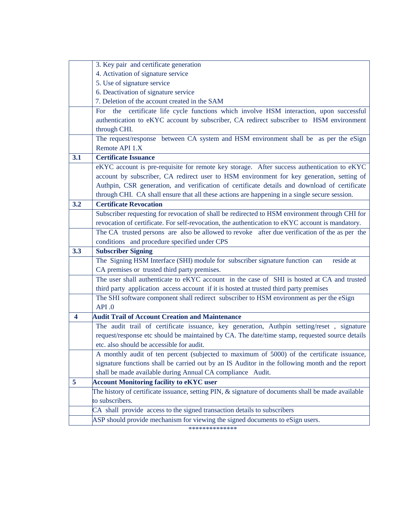|     | 3. Key pair and certificate generation                                                               |  |  |  |  |
|-----|------------------------------------------------------------------------------------------------------|--|--|--|--|
|     | 4. Activation of signature service                                                                   |  |  |  |  |
|     | 5. Use of signature service                                                                          |  |  |  |  |
|     | 6. Deactivation of signature service                                                                 |  |  |  |  |
|     | 7. Deletion of the account created in the SAM                                                        |  |  |  |  |
|     | certificate life cycle functions which involve HSM interaction, upon successful<br>the<br><b>For</b> |  |  |  |  |
|     | authentication to eKYC account by subscriber, CA redirect subscriber to HSM environment              |  |  |  |  |
|     | through CHI.                                                                                         |  |  |  |  |
|     | The request/response between CA system and HSM environment shall be as per the eSign                 |  |  |  |  |
|     | Remote API 1.X                                                                                       |  |  |  |  |
| 3.1 | <b>Certificate Issuance</b>                                                                          |  |  |  |  |
|     | eKYC account is pre-requisite for remote key storage. After success authentication to eKYC           |  |  |  |  |
|     | account by subscriber, CA redirect user to HSM environment for key generation, setting of            |  |  |  |  |
|     | Authpin, CSR generation, and verification of certificate details and download of certificate         |  |  |  |  |
|     | through CHI. CA shall ensure that all these actions are happening in a single secure session.        |  |  |  |  |
| 3.2 | <b>Certificate Revocation</b>                                                                        |  |  |  |  |
|     | Subscriber requesting for revocation of shall be redirected to HSM environment through CHI for       |  |  |  |  |
|     | revocation of certificate. For self-revocation, the authentication to eKYC account is mandatory.     |  |  |  |  |
|     | The CA trusted persons are also be allowed to revoke after due verification of the as per the        |  |  |  |  |
|     | conditions and procedure specified under CPS                                                         |  |  |  |  |
| 3.3 | <b>Subscriber Signing</b>                                                                            |  |  |  |  |
|     |                                                                                                      |  |  |  |  |
|     | The Signing HSM Interface (SHI) module for subscriber signature function can<br>reside at            |  |  |  |  |
|     | CA premises or trusted third party premises.                                                         |  |  |  |  |
|     | The user shall authenticate to eKYC account in the case of SHI is hosted at CA and trusted           |  |  |  |  |
|     | third party application access account if it is hosted at trusted third party premises               |  |  |  |  |
|     | The SHI software component shall redirect subscriber to HSM environment as per the eSign             |  |  |  |  |
|     | API.0                                                                                                |  |  |  |  |
| 4   | <b>Audit Trail of Account Creation and Maintenance</b>                                               |  |  |  |  |
|     | The audit trail of certificate issuance, key generation, Authpin setting/reset, signature            |  |  |  |  |
|     | request/response etc should be maintained by CA. The date/time stamp, requested source details       |  |  |  |  |
|     | etc. also should be accessible for audit.                                                            |  |  |  |  |
|     | A monthly audit of ten percent (subjected to maximum of 5000) of the certificate issuance,           |  |  |  |  |
|     | signature functions shall be carried out by an IS Auditor in the following month and the report      |  |  |  |  |
|     | shall be made available during Annual CA compliance Audit.                                           |  |  |  |  |
| 5   | <b>Account Monitoring facility to eKYC user</b>                                                      |  |  |  |  |
|     | The history of certificate issuance, setting PIN, & signature of documents shall be made available   |  |  |  |  |
|     | to subscribers.                                                                                      |  |  |  |  |
|     | CA shall provide access to the signed transaction details to subscribers                             |  |  |  |  |

\*\*\*\*\*\*\*\*\*\*\*\*\*\*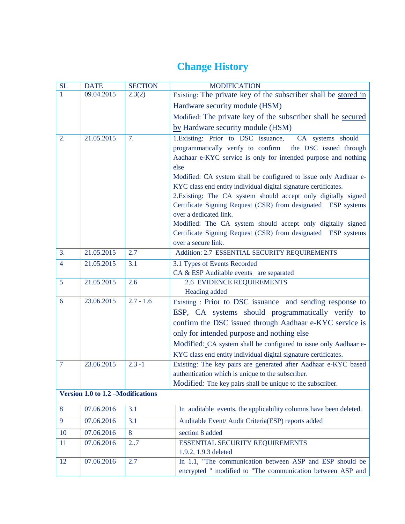# **Change History**

| SL             | <b>DATE</b>                       | <b>SECTION</b> | <b>MODIFICATION</b>                                                                                                                 |
|----------------|-----------------------------------|----------------|-------------------------------------------------------------------------------------------------------------------------------------|
| 1              | 09.04.2015                        | 2.3(2)         | Existing: The private key of the subscriber shall be stored in                                                                      |
|                |                                   |                | Hardware security module (HSM)                                                                                                      |
|                |                                   |                | Modified: The private key of the subscriber shall be secured                                                                        |
|                |                                   |                | by Hardware security module (HSM)                                                                                                   |
| 2.             | 21.05.2015                        | 7.             | 1. Existing: Prior to DSC issuance, CA systems should                                                                               |
|                |                                   |                | programmatically verify to confirm<br>the DSC issued through                                                                        |
|                |                                   |                | Aadhaar e-KYC service is only for intended purpose and nothing                                                                      |
|                |                                   |                | else                                                                                                                                |
|                |                                   |                | Modified: CA system shall be configured to issue only Aadhaar e-<br>KYC class end entity individual digital signature certificates. |
|                |                                   |                | 2. Existing: The CA system should accept only digitally signed                                                                      |
|                |                                   |                | Certificate Signing Request (CSR) from designated ESP systems                                                                       |
|                |                                   |                | over a dedicated link.                                                                                                              |
|                |                                   |                | Modified: The CA system should accept only digitally signed                                                                         |
|                |                                   |                | Certificate Signing Request (CSR) from designated ESP systems                                                                       |
|                |                                   |                | over a secure link.                                                                                                                 |
| 3.             | 21.05.2015                        | 2.7            | Addition: 2.7 ESSENTIAL SECURITY REQUIREMENTS                                                                                       |
| $\overline{4}$ | 21.05.2015                        | 3.1            | 3.1 Types of Events Recorded<br>CA & ESP Auditable events are separated                                                             |
| 5              | 21.05.2015                        | 2.6            | 2.6 EVIDENCE REQUIREMENTS                                                                                                           |
|                |                                   |                | Heading added                                                                                                                       |
| 6              | 23.06.2015                        | $2.7 - 1.6$    | Existing : Prior to DSC issuance and sending response to                                                                            |
|                |                                   |                | ESP, CA systems should programmatically verify to                                                                                   |
|                |                                   |                | confirm the DSC issued through Aadhaar e-KYC service is                                                                             |
|                |                                   |                | only for intended purpose and nothing else                                                                                          |
|                |                                   |                | Modified: CA system shall be configured to issue only Aadhaar e-                                                                    |
|                |                                   |                | KYC class end entity individual digital signature certificates.                                                                     |
| $\overline{7}$ | 23.06.2015                        | $2.3 - 1$      | Existing: The key pairs are generated after Aadhaar e-KYC based                                                                     |
|                |                                   |                | authentication which is unique to the subscriber.<br>Modified: The key pairs shall be unique to the subscriber.                     |
|                | Version 1.0 to 1.2 -Modifications |                |                                                                                                                                     |
|                |                                   |                |                                                                                                                                     |
| 8              | 07.06.2016                        | 3.1            | In auditable events, the applicability columns have been deleted.                                                                   |
| 9              | 07.06.2016                        | 3.1            | Auditable Event/ Audit Criteria(ESP) reports added                                                                                  |
| 10             | 07.06.2016                        | 8              | section 8 added                                                                                                                     |
| 11             | 07.06.2016                        | 27             | ESSENTIAL SECURITY REQUIREMENTS                                                                                                     |
|                |                                   |                | 1.9.2, 1.9.3 deleted                                                                                                                |
| 12             | 07.06.2016                        | 2.7            | In 1.1, "The communication between ASP and ESP should be<br>encrypted " modified to "The communication between ASP and              |
|                |                                   |                |                                                                                                                                     |